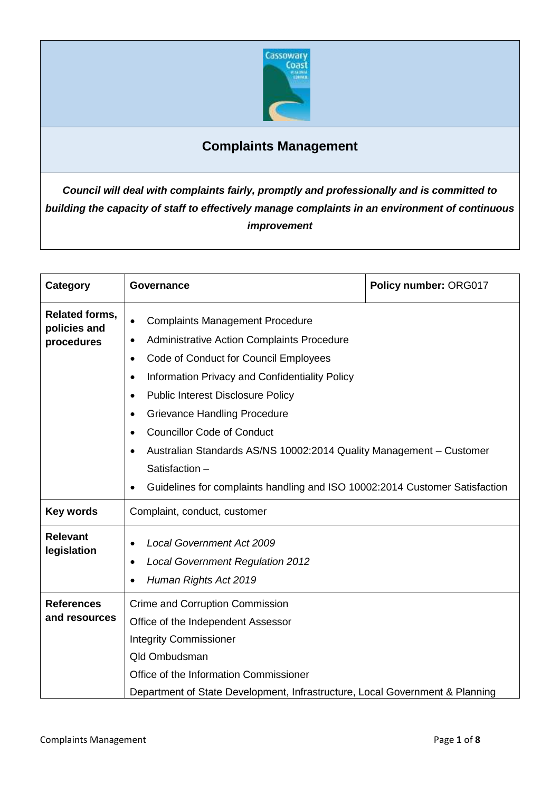

# **Complaints Management**

*Council will deal with complaints fairly, promptly and professionally and is committed to building the capacity of staff to effectively manage complaints in an environment of continuous improvement*

| Category                                            | Governance                                                                                                                                                                                                                                                                                                                                                                                                                                                                                                                                                                          | Policy number: ORG017 |
|-----------------------------------------------------|-------------------------------------------------------------------------------------------------------------------------------------------------------------------------------------------------------------------------------------------------------------------------------------------------------------------------------------------------------------------------------------------------------------------------------------------------------------------------------------------------------------------------------------------------------------------------------------|-----------------------|
| <b>Related forms,</b><br>policies and<br>procedures | <b>Complaints Management Procedure</b><br>$\bullet$<br>Administrative Action Complaints Procedure<br>$\bullet$<br>Code of Conduct for Council Employees<br>$\bullet$<br>Information Privacy and Confidentiality Policy<br>$\bullet$<br><b>Public Interest Disclosure Policy</b><br>$\bullet$<br><b>Grievance Handling Procedure</b><br>$\bullet$<br><b>Councillor Code of Conduct</b><br>٠<br>Australian Standards AS/NS 10002:2014 Quality Management – Customer<br>$\bullet$<br>Satisfaction-<br>Guidelines for complaints handling and ISO 10002:2014 Customer Satisfaction<br>٠ |                       |
| <b>Key words</b>                                    | Complaint, conduct, customer                                                                                                                                                                                                                                                                                                                                                                                                                                                                                                                                                        |                       |
| <b>Relevant</b><br>legislation                      | <b>Local Government Act 2009</b><br>$\bullet$<br><b>Local Government Regulation 2012</b><br>٠<br>Human Rights Act 2019                                                                                                                                                                                                                                                                                                                                                                                                                                                              |                       |
| <b>References</b><br>and resources                  | Crime and Corruption Commission<br>Office of the Independent Assessor<br><b>Integrity Commissioner</b><br><b>Qld Ombudsman</b><br>Office of the Information Commissioner<br>Department of State Development, Infrastructure, Local Government & Planning                                                                                                                                                                                                                                                                                                                            |                       |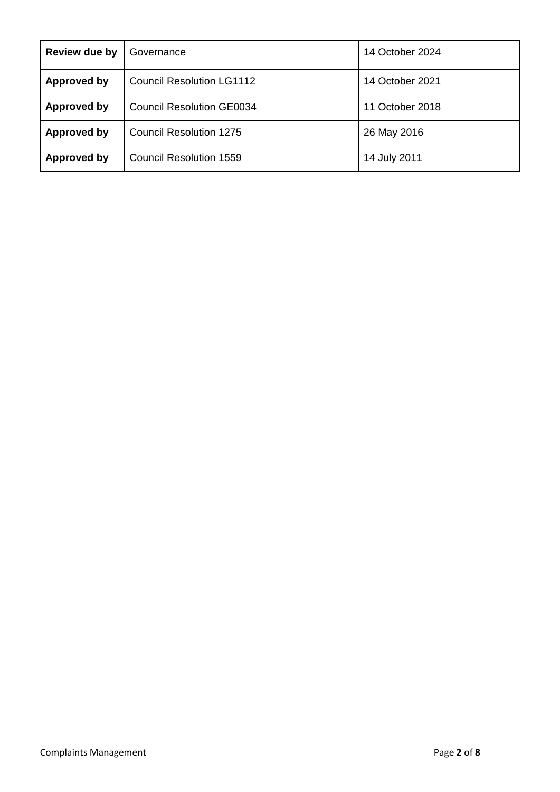| Review due by      | Governance                       | 14 October 2024 |
|--------------------|----------------------------------|-----------------|
| Approved by        | <b>Council Resolution LG1112</b> | 14 October 2021 |
| Approved by        | <b>Council Resolution GE0034</b> | 11 October 2018 |
| <b>Approved by</b> | Council Resolution 1275          | 26 May 2016     |
| Approved by        | <b>Council Resolution 1559</b>   | 14 July 2011    |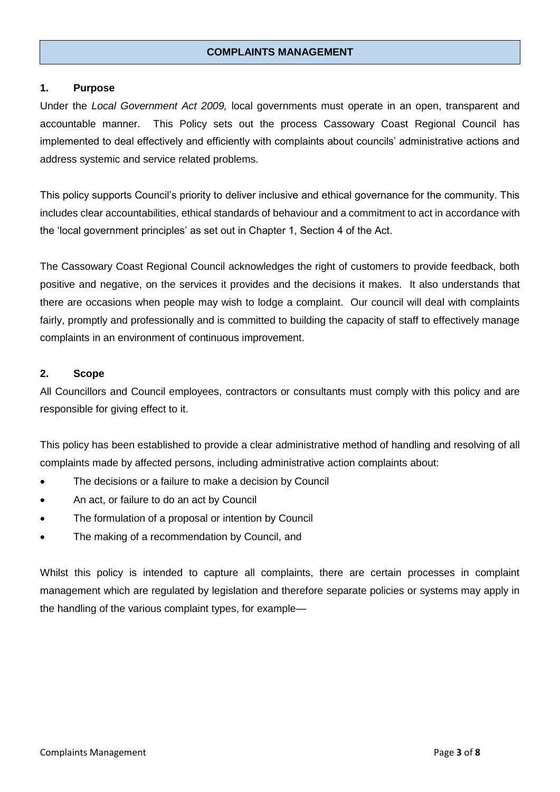### **COMPLAINTS MANAGEMENT**

#### **1. Purpose**

Under the *Local Government Act 2009,* local governments must operate in an open, transparent and accountable manner. This Policy sets out the process Cassowary Coast Regional Council has implemented to deal effectively and efficiently with complaints about councils' administrative actions and address systemic and service related problems.

This policy supports Council's priority to deliver inclusive and ethical governance for the community. This includes clear accountabilities, ethical standards of behaviour and a commitment to act in accordance with the 'local government principles' as set out in Chapter 1, Section 4 of the Act.

The Cassowary Coast Regional Council acknowledges the right of customers to provide feedback, both positive and negative, on the services it provides and the decisions it makes. It also understands that there are occasions when people may wish to lodge a complaint. Our council will deal with complaints fairly, promptly and professionally and is committed to building the capacity of staff to effectively manage complaints in an environment of continuous improvement.

### **2. Scope**

All Councillors and Council employees, contractors or consultants must comply with this policy and are responsible for giving effect to it.

This policy has been established to provide a clear administrative method of handling and resolving of all complaints made by affected persons, including administrative action complaints about:

- The decisions or a failure to make a decision by Council
- An act, or failure to do an act by Council
- The formulation of a proposal or intention by Council
- The making of a recommendation by Council, and

Whilst this policy is intended to capture all complaints, there are certain processes in complaint management which are regulated by legislation and therefore separate policies or systems may apply in the handling of the various complaint types, for example—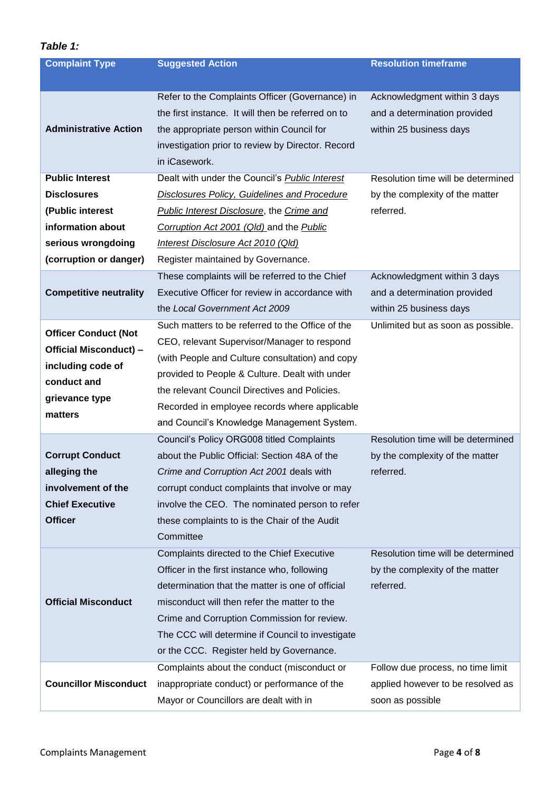## *Table 1:*

| <b>Complaint Type</b>         | <b>Suggested Action</b>                                                                                                                                                                                                  | <b>Resolution timeframe</b>                                                             |
|-------------------------------|--------------------------------------------------------------------------------------------------------------------------------------------------------------------------------------------------------------------------|-----------------------------------------------------------------------------------------|
|                               |                                                                                                                                                                                                                          |                                                                                         |
| <b>Administrative Action</b>  | Refer to the Complaints Officer (Governance) in<br>the first instance. It will then be referred on to<br>the appropriate person within Council for<br>investigation prior to review by Director. Record<br>in iCasework. | Acknowledgment within 3 days<br>and a determination provided<br>within 25 business days |
| <b>Public Interest</b>        | Dealt with under the Council's <b>Public Interest</b>                                                                                                                                                                    | Resolution time will be determined                                                      |
| <b>Disclosures</b>            | <b>Disclosures Policy, Guidelines and Procedure</b>                                                                                                                                                                      | by the complexity of the matter                                                         |
| (Public interest              | <b>Public Interest Disclosure, the Crime and</b>                                                                                                                                                                         | referred.                                                                               |
| information about             | Corruption Act 2001 (Qld) and the Public                                                                                                                                                                                 |                                                                                         |
| serious wrongdoing            | Interest Disclosure Act 2010 (Qld)                                                                                                                                                                                       |                                                                                         |
| (corruption or danger)        | Register maintained by Governance.                                                                                                                                                                                       |                                                                                         |
|                               | These complaints will be referred to the Chief                                                                                                                                                                           | Acknowledgment within 3 days                                                            |
| <b>Competitive neutrality</b> | Executive Officer for review in accordance with                                                                                                                                                                          | and a determination provided                                                            |
|                               | the Local Government Act 2009                                                                                                                                                                                            | within 25 business days                                                                 |
| <b>Officer Conduct (Not</b>   | Such matters to be referred to the Office of the                                                                                                                                                                         | Unlimited but as soon as possible.                                                      |
| Official Misconduct) -        | CEO, relevant Supervisor/Manager to respond                                                                                                                                                                              |                                                                                         |
| including code of             | (with People and Culture consultation) and copy                                                                                                                                                                          |                                                                                         |
| conduct and                   | provided to People & Culture. Dealt with under                                                                                                                                                                           |                                                                                         |
| grievance type                | the relevant Council Directives and Policies.                                                                                                                                                                            |                                                                                         |
| matters                       | Recorded in employee records where applicable                                                                                                                                                                            |                                                                                         |
|                               | and Council's Knowledge Management System.                                                                                                                                                                               |                                                                                         |
|                               | Council's Policy ORG008 titled Complaints                                                                                                                                                                                | Resolution time will be determined                                                      |
| <b>Corrupt Conduct</b>        | about the Public Official: Section 48A of the                                                                                                                                                                            | by the complexity of the matter                                                         |
| alleging the                  | Crime and Corruption Act 2001 deals with                                                                                                                                                                                 | referred.                                                                               |
| involvement of the            | corrupt conduct complaints that involve or may                                                                                                                                                                           |                                                                                         |
| <b>Chief Executive</b>        | involve the CEO. The nominated person to refer                                                                                                                                                                           |                                                                                         |
| <b>Officer</b>                | these complaints to is the Chair of the Audit                                                                                                                                                                            |                                                                                         |
|                               | Committee                                                                                                                                                                                                                |                                                                                         |
|                               | Complaints directed to the Chief Executive                                                                                                                                                                               | Resolution time will be determined                                                      |
|                               | Officer in the first instance who, following                                                                                                                                                                             | by the complexity of the matter                                                         |
|                               | determination that the matter is one of official                                                                                                                                                                         | referred.                                                                               |
| <b>Official Misconduct</b>    | misconduct will then refer the matter to the                                                                                                                                                                             |                                                                                         |
|                               | Crime and Corruption Commission for review.                                                                                                                                                                              |                                                                                         |
|                               | The CCC will determine if Council to investigate                                                                                                                                                                         |                                                                                         |
|                               | or the CCC. Register held by Governance.                                                                                                                                                                                 |                                                                                         |
|                               | Complaints about the conduct (misconduct or                                                                                                                                                                              | Follow due process, no time limit                                                       |
| <b>Councillor Misconduct</b>  | inappropriate conduct) or performance of the                                                                                                                                                                             | applied however to be resolved as                                                       |
|                               | Mayor or Councillors are dealt with in                                                                                                                                                                                   | soon as possible                                                                        |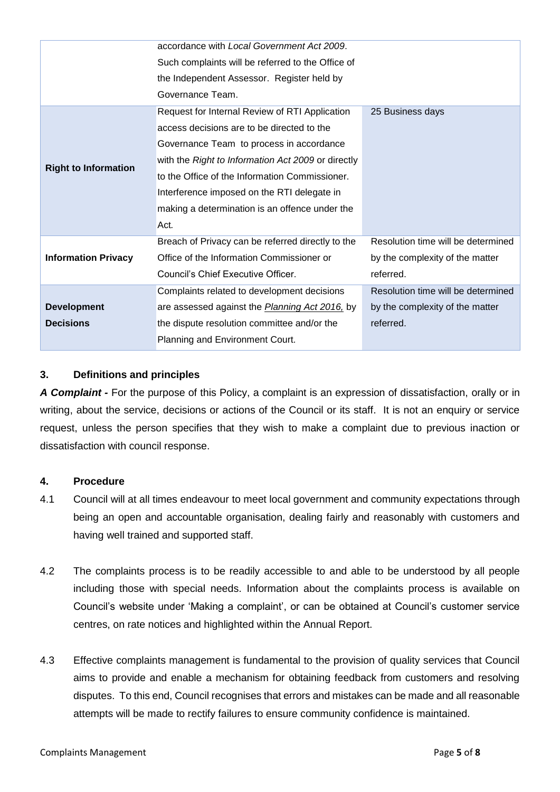|                             | accordance with Local Government Act 2009.             |                                    |
|-----------------------------|--------------------------------------------------------|------------------------------------|
|                             | Such complaints will be referred to the Office of      |                                    |
|                             | the Independent Assessor. Register held by             |                                    |
|                             | Governance Team.                                       |                                    |
|                             | Request for Internal Review of RTI Application         | 25 Business days                   |
|                             | access decisions are to be directed to the             |                                    |
|                             | Governance Team to process in accordance               |                                    |
|                             | with the Right to Information Act 2009 or directly     |                                    |
| <b>Right to Information</b> | to the Office of the Information Commissioner.         |                                    |
|                             | Interference imposed on the RTI delegate in            |                                    |
|                             | making a determination is an offence under the         |                                    |
|                             | Act.                                                   |                                    |
|                             | Breach of Privacy can be referred directly to the      | Resolution time will be determined |
| <b>Information Privacy</b>  | Office of the Information Commissioner or              | by the complexity of the matter    |
|                             | Council's Chief Executive Officer.                     | referred.                          |
|                             | Complaints related to development decisions            | Resolution time will be determined |
| <b>Development</b>          | are assessed against the <i>Planning Act 2016</i> , by | by the complexity of the matter    |
| <b>Decisions</b>            | the dispute resolution committee and/or the            | referred.                          |
|                             | Planning and Environment Court.                        |                                    |

### **3. Definitions and principles**

*A Complaint -* For the purpose of this Policy, a complaint is an expression of dissatisfaction, orally or in writing, about the service, decisions or actions of the Council or its staff. It is not an enquiry or service request, unless the person specifies that they wish to make a complaint due to previous inaction or dissatisfaction with council response.

### **4. Procedure**

- 4.1 Council will at all times endeavour to meet local government and community expectations through being an open and accountable organisation, dealing fairly and reasonably with customers and having well trained and supported staff.
- 4.2 The complaints process is to be readily accessible to and able to be understood by all people including those with special needs. Information about the complaints process is available on Council's website under 'Making a complaint', or can be obtained at Council's customer service centres, on rate notices and highlighted within the Annual Report.
- 4.3 Effective complaints management is fundamental to the provision of quality services that Council aims to provide and enable a mechanism for obtaining feedback from customers and resolving disputes. To this end, Council recognises that errors and mistakes can be made and all reasonable attempts will be made to rectify failures to ensure community confidence is maintained.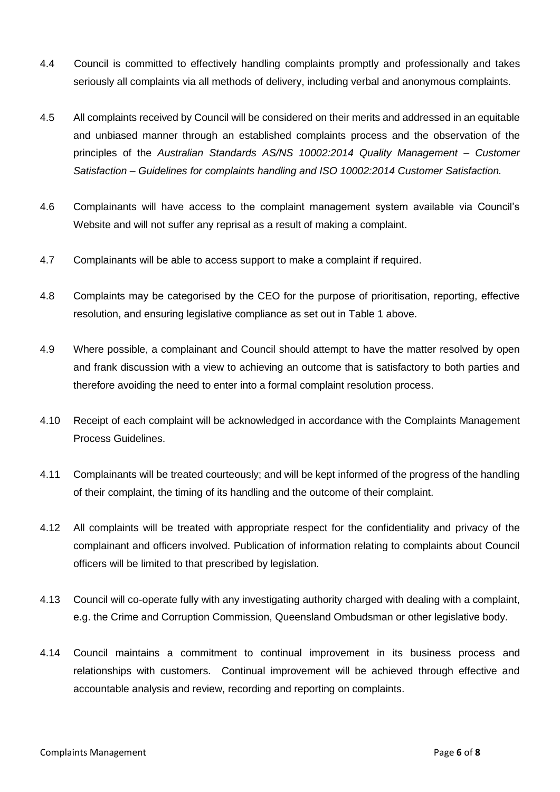- 4.4 Council is committed to effectively handling complaints promptly and professionally and takes seriously all complaints via all methods of delivery, including verbal and anonymous complaints.
- 4.5 All complaints received by Council will be considered on their merits and addressed in an equitable and unbiased manner through an established complaints process and the observation of the principles of the *Australian Standards AS/NS 10002:2014 Quality Management – Customer Satisfaction – Guidelines for complaints handling and ISO 10002:2014 Customer Satisfaction.*
- 4.6 Complainants will have access to the complaint management system available via Council's Website and will not suffer any reprisal as a result of making a complaint.
- 4.7 Complainants will be able to access support to make a complaint if required.
- 4.8 Complaints may be categorised by the CEO for the purpose of prioritisation, reporting, effective resolution, and ensuring legislative compliance as set out in Table 1 above.
- 4.9 Where possible, a complainant and Council should attempt to have the matter resolved by open and frank discussion with a view to achieving an outcome that is satisfactory to both parties and therefore avoiding the need to enter into a formal complaint resolution process.
- 4.10 Receipt of each complaint will be acknowledged in accordance with the Complaints Management Process Guidelines.
- 4.11 Complainants will be treated courteously; and will be kept informed of the progress of the handling of their complaint, the timing of its handling and the outcome of their complaint.
- 4.12 All complaints will be treated with appropriate respect for the confidentiality and privacy of the complainant and officers involved. Publication of information relating to complaints about Council officers will be limited to that prescribed by legislation.
- 4.13 Council will co-operate fully with any investigating authority charged with dealing with a complaint, e.g. the Crime and Corruption Commission, Queensland Ombudsman or other legislative body.
- 4.14 Council maintains a commitment to continual improvement in its business process and relationships with customers. Continual improvement will be achieved through effective and accountable analysis and review, recording and reporting on complaints.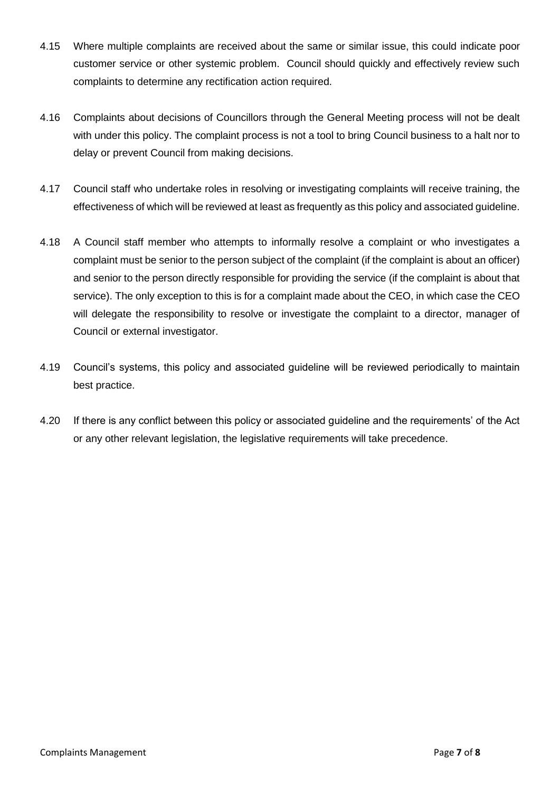- 4.15 Where multiple complaints are received about the same or similar issue, this could indicate poor customer service or other systemic problem. Council should quickly and effectively review such complaints to determine any rectification action required.
- 4.16 Complaints about decisions of Councillors through the General Meeting process will not be dealt with under this policy. The complaint process is not a tool to bring Council business to a halt nor to delay or prevent Council from making decisions.
- 4.17 Council staff who undertake roles in resolving or investigating complaints will receive training, the effectiveness of which will be reviewed at least as frequently as this policy and associated guideline.
- 4.18 A Council staff member who attempts to informally resolve a complaint or who investigates a complaint must be senior to the person subject of the complaint (if the complaint is about an officer) and senior to the person directly responsible for providing the service (if the complaint is about that service). The only exception to this is for a complaint made about the CEO, in which case the CEO will delegate the responsibility to resolve or investigate the complaint to a director, manager of Council or external investigator.
- 4.19 Council's systems, this policy and associated guideline will be reviewed periodically to maintain best practice.
- 4.20 If there is any conflict between this policy or associated guideline and the requirements' of the Act or any other relevant legislation, the legislative requirements will take precedence.